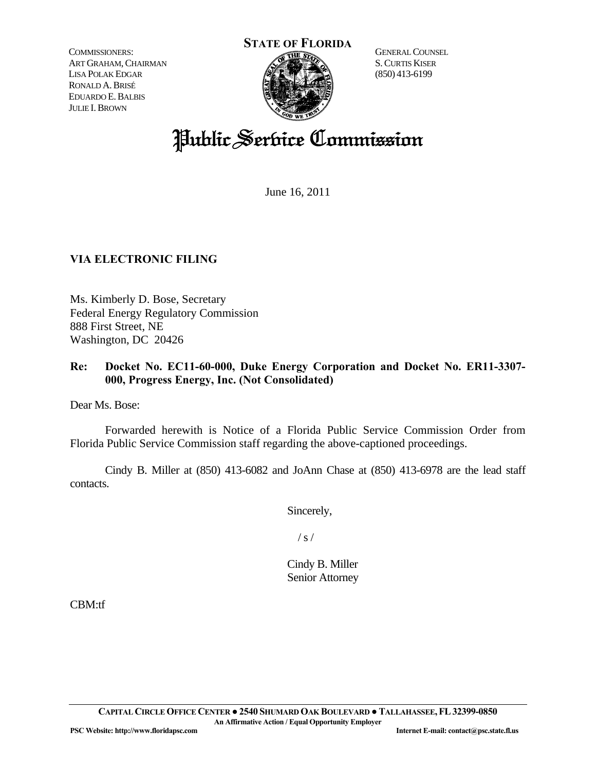COMMISSIONERS: ART GRAHAM, CHAIRMAN LISA POLAK EDGAR RONALD A.BRISÉ EDUARDO E.BALBIS JULIE I.BROWN



GENERAL COUNSEL S.CURTIS KISER (850) 413-6199

# Public Service Commission

June 16, 2011

## **VIA ELECTRONIC FILING**

Ms. Kimberly D. Bose, Secretary Federal Energy Regulatory Commission 888 First Street, NE Washington, DC 20426

### **Re: Docket No. EC11-60-000, Duke Energy Corporation and Docket No. ER11-3307- 000, Progress Energy, Inc. (Not Consolidated)**

Dear Ms. Bose:

 Forwarded herewith is Notice of a Florida Public Service Commission Order from Florida Public Service Commission staff regarding the above-captioned proceedings.

 Cindy B. Miller at (850) 413-6082 and JoAnn Chase at (850) 413-6978 are the lead staff contacts.

Sincerely,

 $/ s /$ 

Cindy B. Miller Senior Attorney

CBM:tf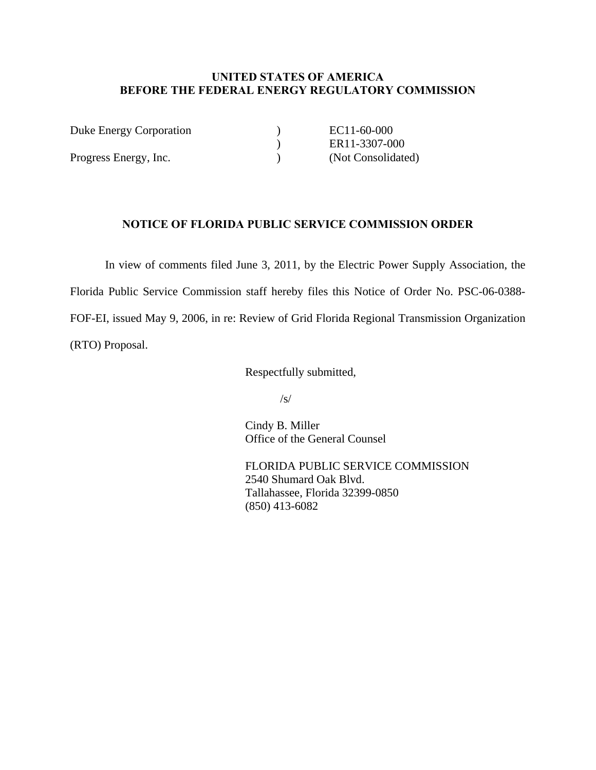#### **UNITED STATES OF AMERICA BEFORE THE FEDERAL ENERGY REGULATORY COMMISSION**

| Duke Energy Corporation | EC11-60-000        |
|-------------------------|--------------------|
|                         | ER11-3307-000      |
| Progress Energy, Inc.   | (Not Consolidated) |

#### **NOTICE OF FLORIDA PUBLIC SERVICE COMMISSION ORDER**

 In view of comments filed June 3, 2011, by the Electric Power Supply Association, the Florida Public Service Commission staff hereby files this Notice of Order No. PSC-06-0388- FOF-EI, issued May 9, 2006, in re: Review of Grid Florida Regional Transmission Organization (RTO) Proposal.

Respectfully submitted,

 $\sqrt{s}$ /

 Cindy B. Miller Office of the General Counsel

 FLORIDA PUBLIC SERVICE COMMISSION 2540 Shumard Oak Blvd. Tallahassee, Florida 32399-0850 (850) 413-6082